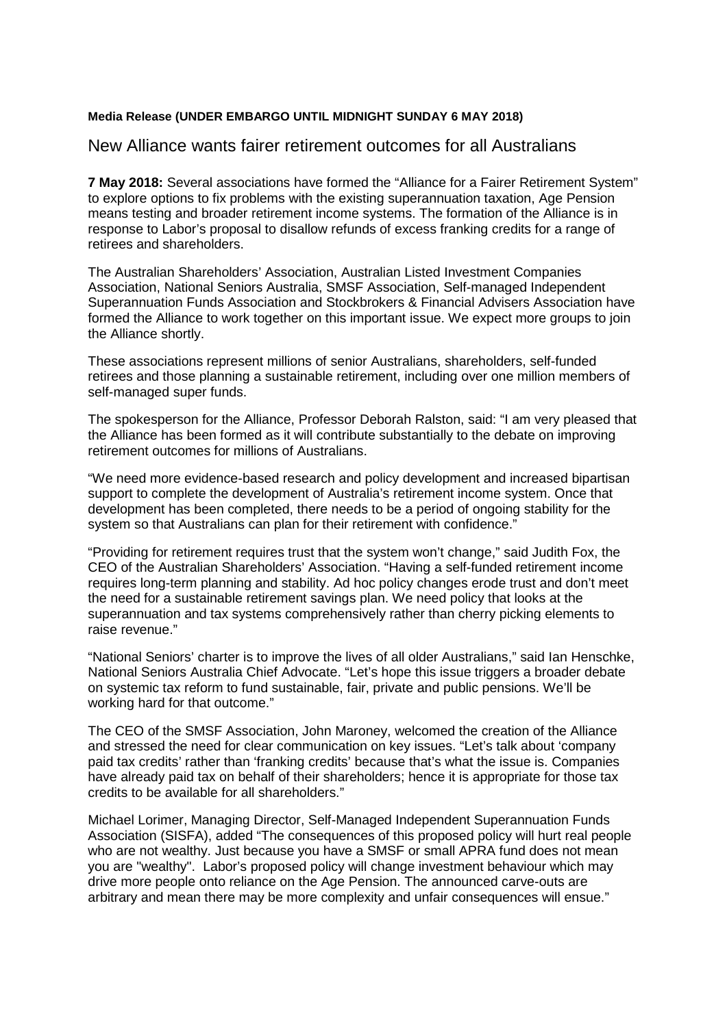## **Media Release (UNDER EMBARGO UNTIL MIDNIGHT SUNDAY 6 MAY 2018)**

## New Alliance wants fairer retirement outcomes for all Australians

**7 May 2018:** Several associations have formed the "Alliance for a Fairer Retirement System" to explore options to fix problems with the existing superannuation taxation, Age Pension means testing and broader retirement income systems. The formation of the Alliance is in response to Labor's proposal to disallow refunds of excess franking credits for a range of retirees and shareholders.

The Australian Shareholders' Association, Australian Listed Investment Companies Association, National Seniors Australia, SMSF Association, Self-managed Independent Superannuation Funds Association and Stockbrokers & Financial Advisers Association have formed the Alliance to work together on this important issue. We expect more groups to join the Alliance shortly.

These associations represent millions of senior Australians, shareholders, self-funded retirees and those planning a sustainable retirement, including over one million members of self-managed super funds.

The spokesperson for the Alliance, Professor Deborah Ralston, said: "I am very pleased that the Alliance has been formed as it will contribute substantially to the debate on improving retirement outcomes for millions of Australians.

"We need more evidence-based research and policy development and increased bipartisan support to complete the development of Australia's retirement income system. Once that development has been completed, there needs to be a period of ongoing stability for the system so that Australians can plan for their retirement with confidence."

"Providing for retirement requires trust that the system won't change," said Judith Fox, the CEO of the Australian Shareholders' Association. "Having a self-funded retirement income requires long-term planning and stability. Ad hoc policy changes erode trust and don't meet the need for a sustainable retirement savings plan. We need policy that looks at the superannuation and tax systems comprehensively rather than cherry picking elements to raise revenue."

"National Seniors' charter is to improve the lives of all older Australians," said Ian Henschke, National Seniors Australia Chief Advocate. "Let's hope this issue triggers a broader debate on systemic tax reform to fund sustainable, fair, private and public pensions. We'll be working hard for that outcome."

The CEO of the SMSF Association, John Maroney, welcomed the creation of the Alliance and stressed the need for clear communication on key issues. "Let's talk about 'company paid tax credits' rather than 'franking credits' because that's what the issue is. Companies have already paid tax on behalf of their shareholders; hence it is appropriate for those tax credits to be available for all shareholders."

Michael Lorimer, Managing Director, Self-Managed Independent Superannuation Funds Association (SISFA), added "The consequences of this proposed policy will hurt real people who are not wealthy. Just because you have a SMSF or small APRA fund does not mean you are "wealthy". Labor's proposed policy will change investment behaviour which may drive more people onto reliance on the Age Pension. The announced carve-outs are arbitrary and mean there may be more complexity and unfair consequences will ensue."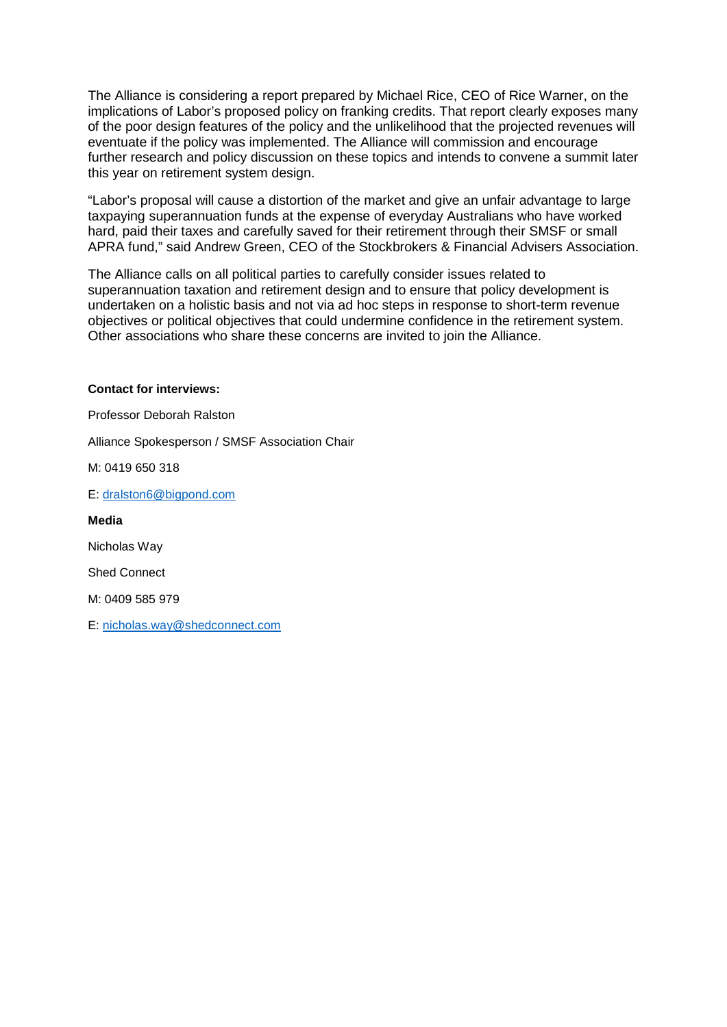The Alliance is considering a report prepared by Michael Rice, CEO of Rice Warner, on the implications of Labor's proposed policy on franking credits. That report clearly exposes many of the poor design features of the policy and the unlikelihood that the projected revenues will eventuate if the policy was implemented. The Alliance will commission and encourage further research and policy discussion on these topics and intends to convene a summit later this year on retirement system design.

"Labor's proposal will cause a distortion of the market and give an unfair advantage to large taxpaying superannuation funds at the expense of everyday Australians who have worked hard, paid their taxes and carefully saved for their retirement through their SMSF or small APRA fund," said Andrew Green, CEO of the Stockbrokers & Financial Advisers Association.

The Alliance calls on all political parties to carefully consider issues related to superannuation taxation and retirement design and to ensure that policy development is undertaken on a holistic basis and not via ad hoc steps in response to short-term revenue objectives or political objectives that could undermine confidence in the retirement system. Other associations who share these concerns are invited to join the Alliance.

#### **Contact for interviews:**

Professor Deborah Ralston

Alliance Spokesperson / SMSF Association Chair

M: 0419 650 318

E: [dralston6@bigpond.com](mailto:dralston6@bigpond.com)

**Media**

Nicholas Way

Shed Connect

M: 0409 585 979

E: [nicholas.way@shedconnect.com](mailto:nicholas.way@shedconnect.com%0d)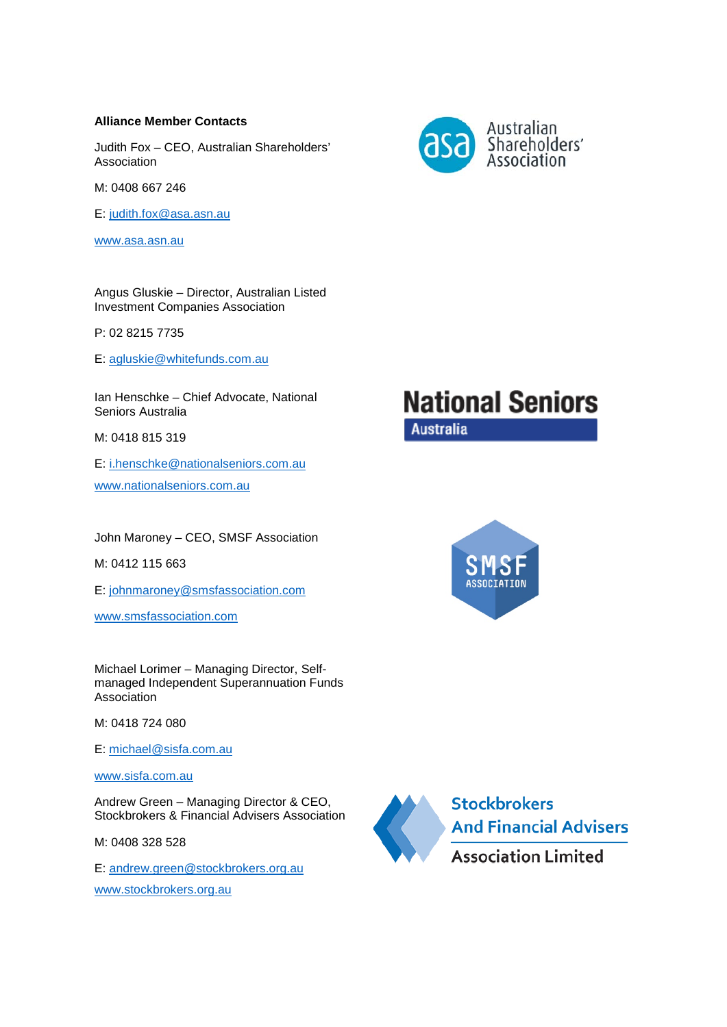#### **Alliance Member Contacts**

Judith Fox – CEO, Australian Shareholders' Association

M: 0408 667 246

E: [judith.fox@asa.asn.au](mailto:judith.fox@asa.asn.au)

www.asa.asn.au

Angus Gluskie – Director, Australian Listed Investment Companies Association

P: 02 8215 7735

E: [agluskie@whitefunds.com.au](mailto:agluskie@whitefunds.com.au)

Ian Henschke – Chief Advocate, National Seniors Australia

M: 0418 815 319

E: [i.henschke@nationalseniors.com.au](mailto:i.henschke@nationalseniors.com.au) [www.nationalseniors.com.au](http://www.nationalseniors.com.au/)

John Maroney – CEO, SMSF Association

M: 0412 115 663

E: [johnmaroney@smsfassociation.com](mailto:johnmaroney@smsfassociation.com)

[www.smsfassociation.com](http://www.smsfassociation.com/)

Michael Lorimer – Managing Director, Selfmanaged Independent Superannuation Funds Association

M: 0418 724 080

E: [michael@sisfa.com.au](mailto:michael@sisfa.com.au)

[www.sisfa.com.au](http://www.sisfa.com.au/)

Andrew Green – Managing Director & CEO, Stockbrokers & Financial Advisers Association

M: 0408 328 528

E: [andrew.green@stockbrokers.org.au](mailto:andrew.green@stockbrokers.org.au)

[www.stockbrokers.org.au](http://www.stockbrokers.org.au/)



# **National Seniors Australia**



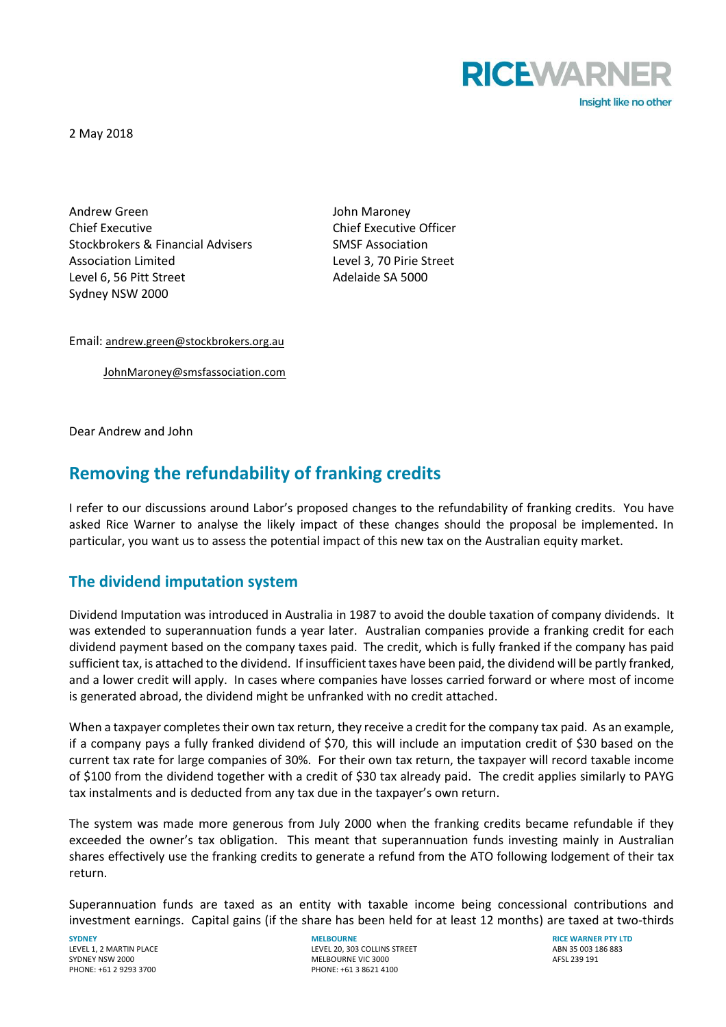

2 May 2018

Andrew Green **Andrew Green** Andrew Green **John Maroney** Chief Executive Chief Executive Officer Stockbrokers & Financial Advisers SMSF Association Association Limited Level 3, 70 Pirie Street Level 6, 56 Pitt Street Adelaide SA 5000 Sydney NSW 2000

Email: [andrew.green@stockbrokers.org.au](mailto:andrew.green@stockbrokers.org.au)

J[ohnMaroney@smsfassociation.com](mailto:JohnMaroney@smsfassociation.com)

Dear Andrew and John

# **Removing the refundability of franking credits**

I refer to our discussions around Labor's proposed changes to the refundability of franking credits. You have asked Rice Warner to analyse the likely impact of these changes should the proposal be implemented. In particular, you want us to assess the potential impact of this new tax on the Australian equity market.

# **The dividend imputation system**

Dividend Imputation was introduced in Australia in 1987 to avoid the double taxation of company dividends. It was extended to superannuation funds a year later. Australian companies provide a franking credit for each dividend payment based on the company taxes paid. The credit, which is fully franked if the company has paid sufficient tax, is attached to the dividend. If insufficient taxes have been paid, the dividend will be partly franked, and a lower credit will apply. In cases where companies have losses carried forward or where most of income is generated abroad, the dividend might be unfranked with no credit attached.

When a taxpayer completes their own tax return, they receive a credit for the company tax paid. As an example, if a company pays a fully franked dividend of \$70, this will include an imputation credit of \$30 based on the current tax rate for large companies of 30%. For their own tax return, the taxpayer will record taxable income of \$100 from the dividend together with a credit of \$30 tax already paid. The credit applies similarly to PAYG tax instalments and is deducted from any tax due in the taxpayer's own return.

The system was made more generous from July 2000 when the franking credits became refundable if they exceeded the owner's tax obligation. This meant that superannuation funds investing mainly in Australian shares effectively use the franking credits to generate a refund from the ATO following lodgement of their tax return.

Superannuation funds are taxed as an entity with taxable income being concessional contributions and investment earnings. Capital gains (if the share has been held for at least 12 months) are taxed at two-thirds

SYDNEY NSW 2000<br>
PHONE: +61 2 9293 3700<br>
PHONE: +61 3 8621 41

**SYDNEY MELBOURNE RICE WARNER PTY LTD** LEVEL 1, 2 MARTIN PLACE LEVEL 20, 303 COLLINS STREET ARREST ABN 35 003 186 883<br>LEVEL 20, 303 COLLINS STREET ABOVE ABN 35 003 186 883<br>MELBOURNE VIC 3000 AFSL 239 191 PHONE: +61 3 8621 4100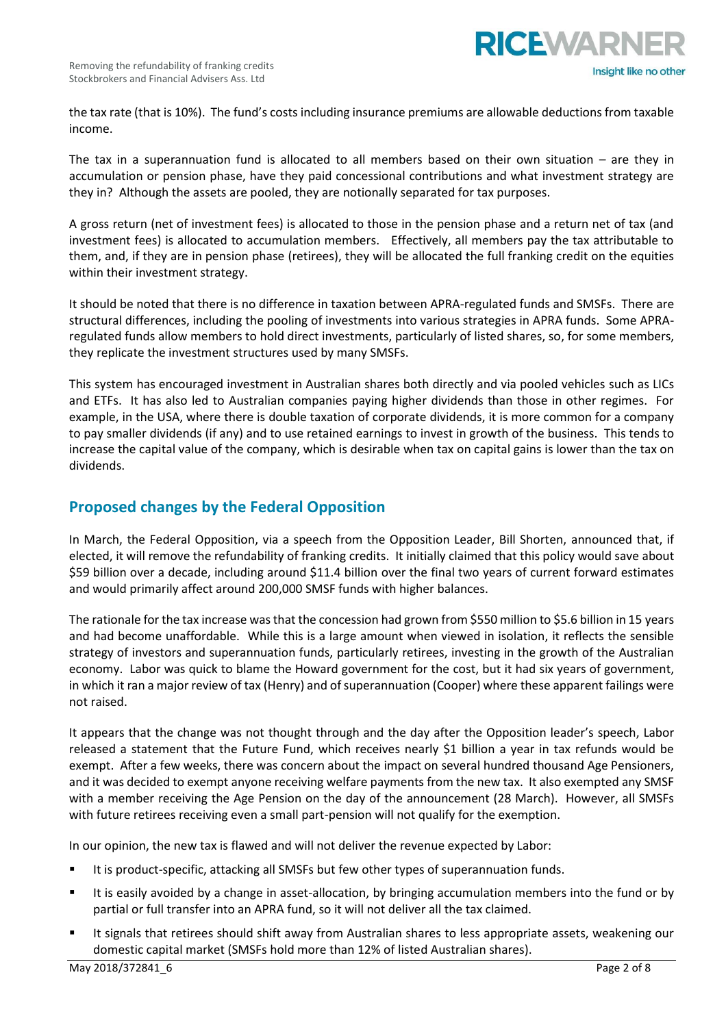

the tax rate (that is 10%). The fund's costs including insurance premiums are allowable deductions from taxable income.

The tax in a superannuation fund is allocated to all members based on their own situation – are they in accumulation or pension phase, have they paid concessional contributions and what investment strategy are they in? Although the assets are pooled, they are notionally separated for tax purposes.

A gross return (net of investment fees) is allocated to those in the pension phase and a return net of tax (and investment fees) is allocated to accumulation members. Effectively, all members pay the tax attributable to them, and, if they are in pension phase (retirees), they will be allocated the full franking credit on the equities within their investment strategy.

It should be noted that there is no difference in taxation between APRA-regulated funds and SMSFs. There are structural differences, including the pooling of investments into various strategies in APRA funds. Some APRAregulated funds allow members to hold direct investments, particularly of listed shares, so, for some members, they replicate the investment structures used by many SMSFs.

This system has encouraged investment in Australian shares both directly and via pooled vehicles such as LICs and ETFs. It has also led to Australian companies paying higher dividends than those in other regimes. For example, in the USA, where there is double taxation of corporate dividends, it is more common for a company to pay smaller dividends (if any) and to use retained earnings to invest in growth of the business. This tends to increase the capital value of the company, which is desirable when tax on capital gains is lower than the tax on dividends.

# **Proposed changes by the Federal Opposition**

In March, the Federal Opposition, via a speech from the Opposition Leader, Bill Shorten, announced that, if elected, it will remove the refundability of franking credits. It initially claimed that this policy would save about \$59 billion over a decade, including around \$11.4 billion over the final two years of current forward estimates and would primarily affect around 200,000 SMSF funds with higher balances.

The rationale for the tax increase was that the concession had grown from \$550 million to \$5.6 billion in 15 years and had become unaffordable. While this is a large amount when viewed in isolation, it reflects the sensible strategy of investors and superannuation funds, particularly retirees, investing in the growth of the Australian economy. Labor was quick to blame the Howard government for the cost, but it had six years of government, in which it ran a major review of tax (Henry) and of superannuation (Cooper) where these apparent failings were not raised.

It appears that the change was not thought through and the day after the Opposition leader's speech, Labor released a statement that the Future Fund, which receives nearly \$1 billion a year in tax refunds would be exempt. After a few weeks, there was concern about the impact on several hundred thousand Age Pensioners, and it was decided to exempt anyone receiving welfare payments from the new tax. It also exempted any SMSF with a member receiving the Age Pension on the day of the announcement (28 March). However, all SMSFs with future retirees receiving even a small part-pension will not qualify for the exemption.

In our opinion, the new tax is flawed and will not deliver the revenue expected by Labor:

- It is product-specific, attacking all SMSFs but few other types of superannuation funds.
- It is easily avoided by a change in asset-allocation, by bringing accumulation members into the fund or by partial or full transfer into an APRA fund, so it will not deliver all the tax claimed.
- It signals that retirees should shift away from Australian shares to less appropriate assets, weakening our domestic capital market (SMSFs hold more than 12% of listed Australian shares).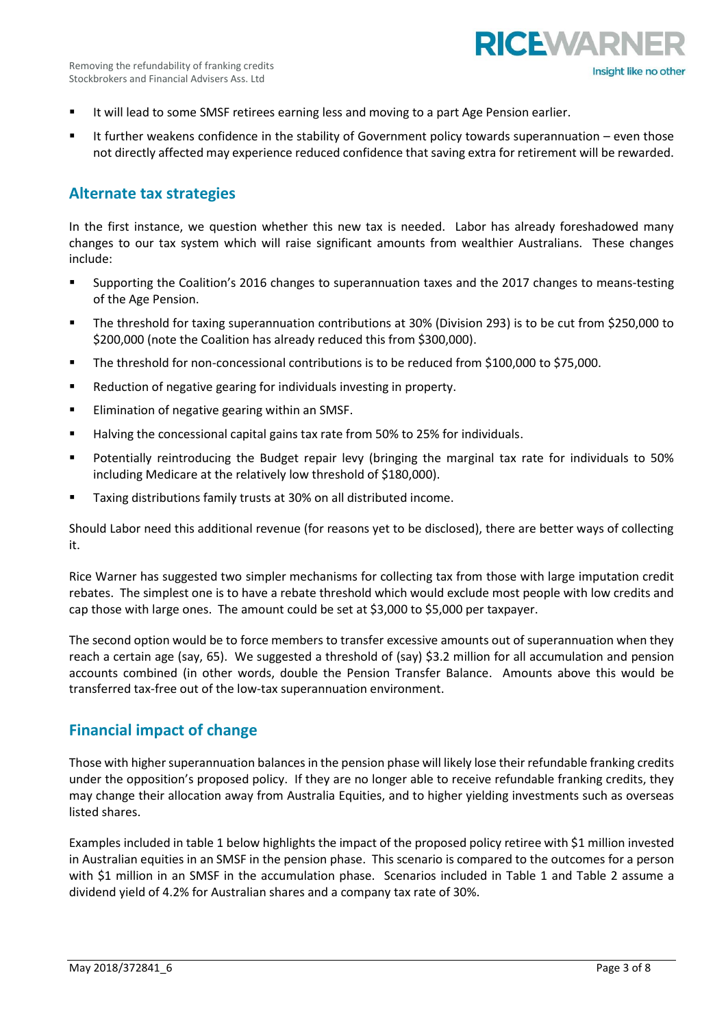

- **■** It will lead to some SMSF retirees earning less and moving to a part Age Pension earlier.
- It further weakens confidence in the stability of Government policy towards superannuation even those not directly affected may experience reduced confidence that saving extra for retirement will be rewarded.

# **Alternate tax strategies**

In the first instance, we question whether this new tax is needed. Labor has already foreshadowed many changes to our tax system which will raise significant amounts from wealthier Australians. These changes include:

- Supporting the Coalition's 2016 changes to superannuation taxes and the 2017 changes to means-testing of the Age Pension.
- The threshold for taxing superannuation contributions at 30% (Division 293) is to be cut from \$250,000 to \$200,000 (note the Coalition has already reduced this from \$300,000).
- The threshold for non-concessional contributions is to be reduced from \$100,000 to \$75,000.
- Reduction of negative gearing for individuals investing in property.
- Elimination of negative gearing within an SMSF.
- Halving the concessional capital gains tax rate from 50% to 25% for individuals.
- Potentially reintroducing the Budget repair levy (bringing the marginal tax rate for individuals to 50% including Medicare at the relatively low threshold of \$180,000).
- Taxing distributions family trusts at 30% on all distributed income.

Should Labor need this additional revenue (for reasons yet to be disclosed), there are better ways of collecting it.

Rice Warner has suggested two simpler mechanisms for collecting tax from those with large imputation credit rebates. The simplest one is to have a rebate threshold which would exclude most people with low credits and cap those with large ones. The amount could be set at \$3,000 to \$5,000 per taxpayer.

The second option would be to force members to transfer excessive amounts out of superannuation when they reach a certain age (say, 65). We suggested a threshold of (say) \$3.2 million for all accumulation and pension accounts combined (in other words, double the Pension Transfer Balance. Amounts above this would be transferred tax-free out of the low-tax superannuation environment.

# **Financial impact of change**

Those with higher superannuation balances in the pension phase will likely lose their refundable franking credits under the opposition's proposed policy. If they are no longer able to receive refundable franking credits, they may change their allocation away from Australia Equities, and to higher yielding investments such as overseas listed shares.

Examples included in table 1 below highlights the impact of the proposed policy retiree with \$1 million invested in Australian equities in an SMSF in the pension phase. This scenario is compared to the outcomes for a person with \$1 million in an SMSF in the accumulation phase. Scenarios included in Table 1 and Table 2 assume a dividend yield of 4.2% for Australian shares and a company tax rate of 30%.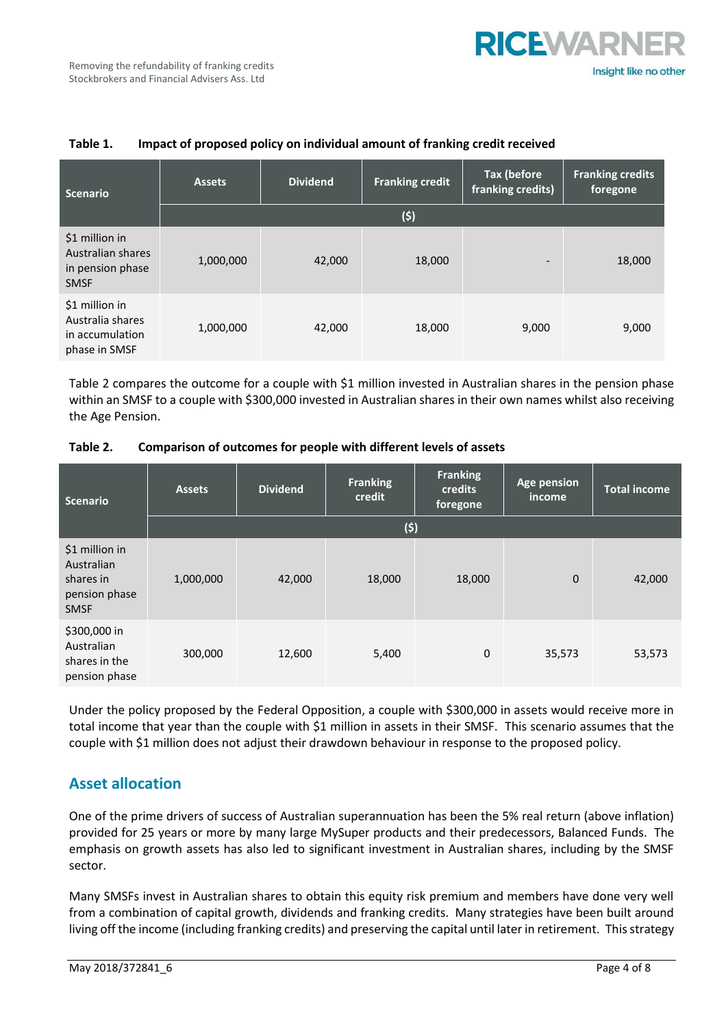

| <b>Scenario</b>                                                        | <b>Assets</b> | <b>Dividend</b> | <b>Franking credit</b> | <b>Tax (before</b><br>franking credits) | <b>Franking credits</b><br>foregone |  |
|------------------------------------------------------------------------|---------------|-----------------|------------------------|-----------------------------------------|-------------------------------------|--|
|                                                                        | (5)           |                 |                        |                                         |                                     |  |
| \$1 million in<br>Australian shares<br>in pension phase<br><b>SMSF</b> | 1,000,000     | 42,000          | 18,000                 | $\overline{\phantom{a}}$                | 18,000                              |  |
| \$1 million in<br>Australia shares<br>in accumulation<br>phase in SMSF | 1,000,000     | 42,000          | 18,000                 | 9,000                                   | 9,000                               |  |

## **Table 1. Impact of proposed policy on individual amount of franking credit received**

Table 2 compares the outcome for a couple with \$1 million invested in Australian shares in the pension phase within an SMSF to a couple with \$300,000 invested in Australian shares in their own names whilst also receiving the Age Pension.

| Table 2. | Comparison of outcomes for people with different levels of assets |
|----------|-------------------------------------------------------------------|
|----------|-------------------------------------------------------------------|

| Scenario                                                                  | <b>Assets</b> | <b>Dividend</b> | <b>Franking</b><br>credit | <b>Franking</b><br>credits<br>foregone | Age pension<br>income | <b>Total income</b> |
|---------------------------------------------------------------------------|---------------|-----------------|---------------------------|----------------------------------------|-----------------------|---------------------|
|                                                                           |               |                 | (5)                       |                                        |                       |                     |
| \$1 million in<br>Australian<br>shares in<br>pension phase<br><b>SMSF</b> | 1,000,000     | 42,000          | 18,000                    | 18,000                                 | $\mathbf{0}$          | 42,000              |
| \$300,000 in<br>Australian<br>shares in the<br>pension phase              | 300,000       | 12,600          | 5,400                     | 0                                      | 35,573                | 53,573              |

Under the policy proposed by the Federal Opposition, a couple with \$300,000 in assets would receive more in total income that year than the couple with \$1 million in assets in their SMSF. This scenario assumes that the couple with \$1 million does not adjust their drawdown behaviour in response to the proposed policy.

# **Asset allocation**

One of the prime drivers of success of Australian superannuation has been the 5% real return (above inflation) provided for 25 years or more by many large MySuper products and their predecessors, Balanced Funds. The emphasis on growth assets has also led to significant investment in Australian shares, including by the SMSF sector.

Many SMSFs invest in Australian shares to obtain this equity risk premium and members have done very well from a combination of capital growth, dividends and franking credits. Many strategies have been built around living off the income (including franking credits) and preserving the capital until later in retirement. This strategy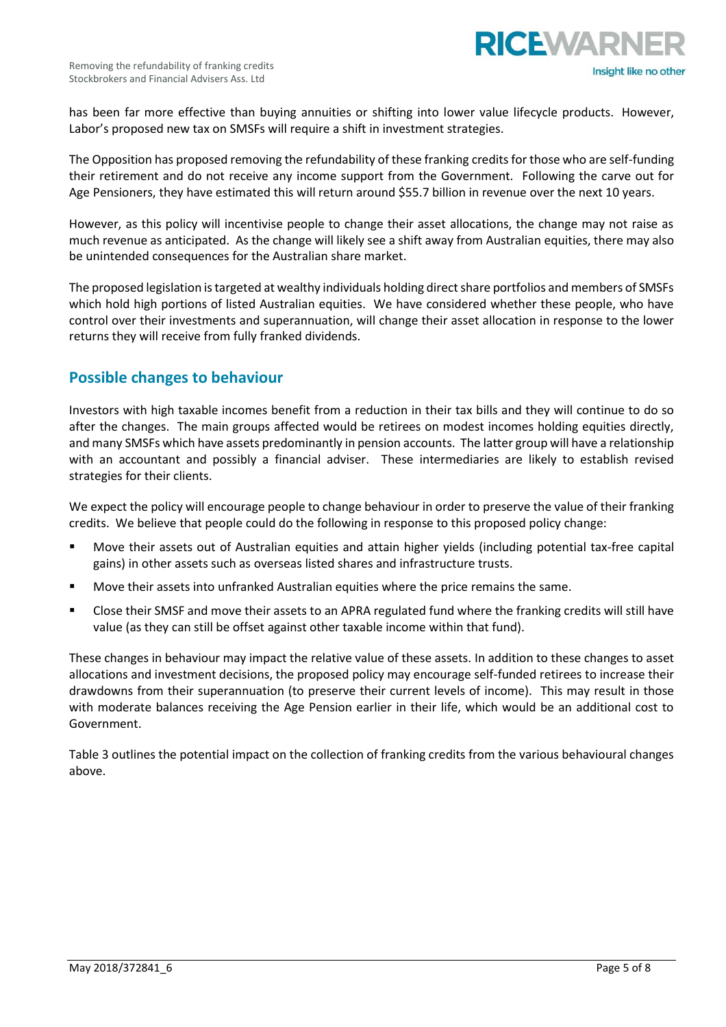

has been far more effective than buying annuities or shifting into lower value lifecycle products. However, Labor's proposed new tax on SMSFs will require a shift in investment strategies.

The Opposition has proposed removing the refundability of these franking credits for those who are self-funding their retirement and do not receive any income support from the Government. Following the carve out for Age Pensioners, they have estimated this will return around \$55.7 billion in revenue over the next 10 years.

However, as this policy will incentivise people to change their asset allocations, the change may not raise as much revenue as anticipated. As the change will likely see a shift away from Australian equities, there may also be unintended consequences for the Australian share market.

The proposed legislation is targeted at wealthy individuals holding direct share portfolios and members of SMSFs which hold high portions of listed Australian equities. We have considered whether these people, who have control over their investments and superannuation, will change their asset allocation in response to the lower returns they will receive from fully franked dividends.

# **Possible changes to behaviour**

Investors with high taxable incomes benefit from a reduction in their tax bills and they will continue to do so after the changes. The main groups affected would be retirees on modest incomes holding equities directly, and many SMSFs which have assets predominantly in pension accounts. The latter group will have a relationship with an accountant and possibly a financial adviser. These intermediaries are likely to establish revised strategies for their clients.

We expect the policy will encourage people to change behaviour in order to preserve the value of their franking credits. We believe that people could do the following in response to this proposed policy change:

- Move their assets out of Australian equities and attain higher yields (including potential tax-free capital gains) in other assets such as overseas listed shares and infrastructure trusts.
- Move their assets into unfranked Australian equities where the price remains the same.
- Close their SMSF and move their assets to an APRA regulated fund where the franking credits will still have value (as they can still be offset against other taxable income within that fund).

These changes in behaviour may impact the relative value of these assets. In addition to these changes to asset allocations and investment decisions, the proposed policy may encourage self-funded retirees to increase their drawdowns from their superannuation (to preserve their current levels of income). This may result in those with moderate balances receiving the Age Pension earlier in their life, which would be an additional cost to Government.

Table 3 outlines the potential impact on the collection of franking credits from the various behavioural changes above.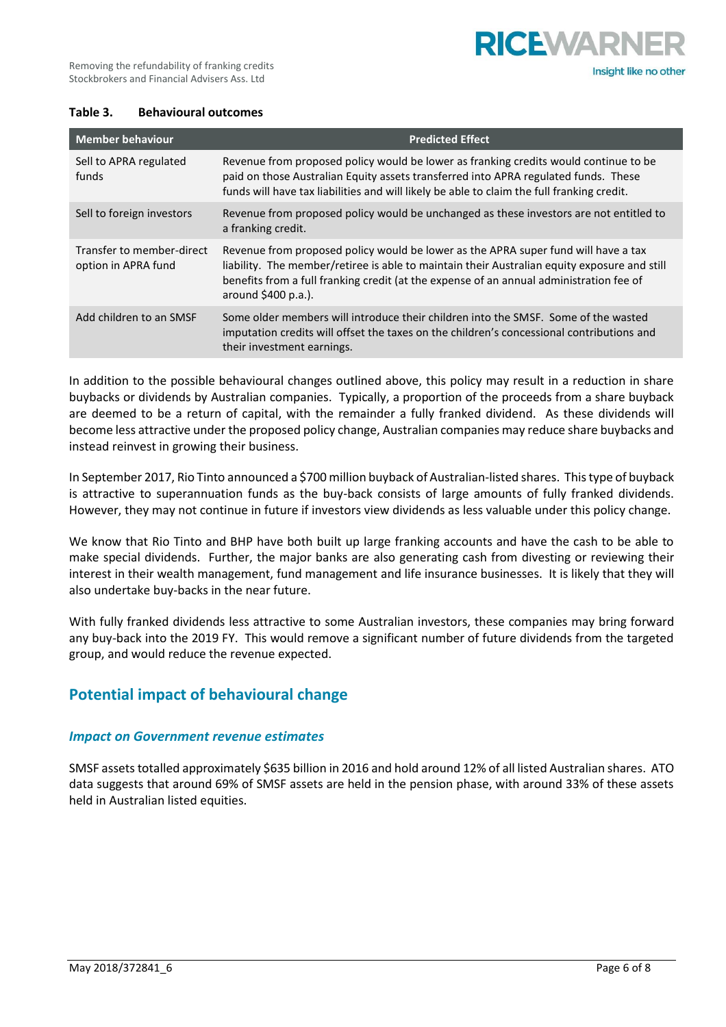

#### **Table 3. Behavioural outcomes**

| <b>Member behaviour</b>                          | <b>Predicted Effect</b>                                                                                                                                                                                                                                                                              |
|--------------------------------------------------|------------------------------------------------------------------------------------------------------------------------------------------------------------------------------------------------------------------------------------------------------------------------------------------------------|
| Sell to APRA regulated<br>funds                  | Revenue from proposed policy would be lower as franking credits would continue to be<br>paid on those Australian Equity assets transferred into APRA regulated funds. These<br>funds will have tax liabilities and will likely be able to claim the full franking credit.                            |
| Sell to foreign investors                        | Revenue from proposed policy would be unchanged as these investors are not entitled to<br>a franking credit.                                                                                                                                                                                         |
| Transfer to member-direct<br>option in APRA fund | Revenue from proposed policy would be lower as the APRA super fund will have a tax<br>liability. The member/retiree is able to maintain their Australian equity exposure and still<br>benefits from a full franking credit (at the expense of an annual administration fee of<br>around \$400 p.a.). |
| Add children to an SMSF                          | Some older members will introduce their children into the SMSF. Some of the wasted<br>imputation credits will offset the taxes on the children's concessional contributions and<br>their investment earnings.                                                                                        |

In addition to the possible behavioural changes outlined above, this policy may result in a reduction in share buybacks or dividends by Australian companies. Typically, a proportion of the proceeds from a share buyback are deemed to be a return of capital, with the remainder a fully franked dividend. As these dividends will become less attractive under the proposed policy change, Australian companies may reduce share buybacks and instead reinvest in growing their business.

In September 2017, Rio Tinto announced a \$700 million buyback of Australian-listed shares. Thistype of buyback is attractive to superannuation funds as the buy-back consists of large amounts of fully franked dividends. However, they may not continue in future if investors view dividends as less valuable under this policy change.

We know that Rio Tinto and BHP have both built up large franking accounts and have the cash to be able to make special dividends. Further, the major banks are also generating cash from divesting or reviewing their interest in their wealth management, fund management and life insurance businesses. It is likely that they will also undertake buy-backs in the near future.

With fully franked dividends less attractive to some Australian investors, these companies may bring forward any buy-back into the 2019 FY. This would remove a significant number of future dividends from the targeted group, and would reduce the revenue expected.

# **Potential impact of behavioural change**

#### *Impact on Government revenue estimates*

SMSF assets totalled approximately \$635 billion in 2016 and hold around 12% of all listed Australian shares. ATO data suggests that around 69% of SMSF assets are held in the pension phase, with around 33% of these assets held in Australian listed equities.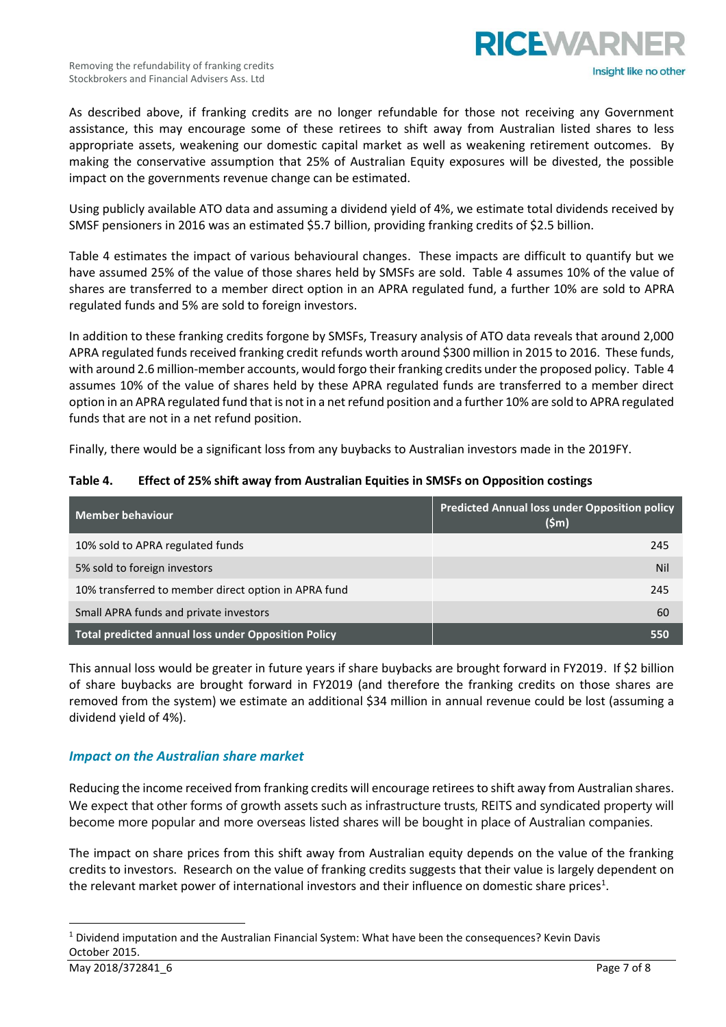

As described above, if franking credits are no longer refundable for those not receiving any Government assistance, this may encourage some of these retirees to shift away from Australian listed shares to less appropriate assets, weakening our domestic capital market as well as weakening retirement outcomes. By making the conservative assumption that 25% of Australian Equity exposures will be divested, the possible impact on the governments revenue change can be estimated.

Using publicly available ATO data and assuming a dividend yield of 4%, we estimate total dividends received by SMSF pensioners in 2016 was an estimated \$5.7 billion, providing franking credits of \$2.5 billion.

Table 4 estimates the impact of various behavioural changes. These impacts are difficult to quantify but we have assumed 25% of the value of those shares held by SMSFs are sold. Table 4 assumes 10% of the value of shares are transferred to a member direct option in an APRA regulated fund, a further 10% are sold to APRA regulated funds and 5% are sold to foreign investors.

In addition to these franking credits forgone by SMSFs, Treasury analysis of ATO data reveals that around 2,000 APRA regulated funds received franking credit refunds worth around \$300 million in 2015 to 2016. These funds, with around 2.6 million-member accounts, would forgo their franking credits under the proposed policy. Table 4 assumes 10% of the value of shares held by these APRA regulated funds are transferred to a member direct option in an APRA regulated fund that is not in a netrefund position and a further 10% are sold to APRA regulated funds that are not in a net refund position.

Finally, there would be a significant loss from any buybacks to Australian investors made in the 2019FY.

| Table 4. |  |  | Effect of 25% shift away from Australian Equities in SMSFs on Opposition costings |
|----------|--|--|-----------------------------------------------------------------------------------|
|----------|--|--|-----------------------------------------------------------------------------------|

| Member behaviour                                     | <b>Predicted Annual loss under Opposition policy</b><br>$(\mathsf{Sm})$ |
|------------------------------------------------------|-------------------------------------------------------------------------|
| 10% sold to APRA regulated funds                     | 245                                                                     |
| 5% sold to foreign investors                         | <b>Nil</b>                                                              |
| 10% transferred to member direct option in APRA fund | 245                                                                     |
| Small APRA funds and private investors               | 60                                                                      |
| Total predicted annual loss under Opposition Policy  | 550                                                                     |

This annual loss would be greater in future years if share buybacks are brought forward in FY2019. If \$2 billion of share buybacks are brought forward in FY2019 (and therefore the franking credits on those shares are removed from the system) we estimate an additional \$34 million in annual revenue could be lost (assuming a dividend yield of 4%).

## *Impact on the Australian share market*

Reducing the income received from franking credits will encourage retirees to shift away from Australian shares. We expect that other forms of growth assets such as infrastructure trusts, REITS and syndicated property will become more popular and more overseas listed shares will be bought in place of Australian companies.

The impact on share prices from this shift away from Australian equity depends on the value of the franking credits to investors. Research on the value of franking credits suggests that their value is largely dependent on the relevant market power of international investors and their influence on domestic share prices<sup>1</sup>.

 $\overline{a}$ 

<sup>1</sup> Dividend imputation and the Australian Financial System: What have been the consequences? Kevin Davis October 2015.